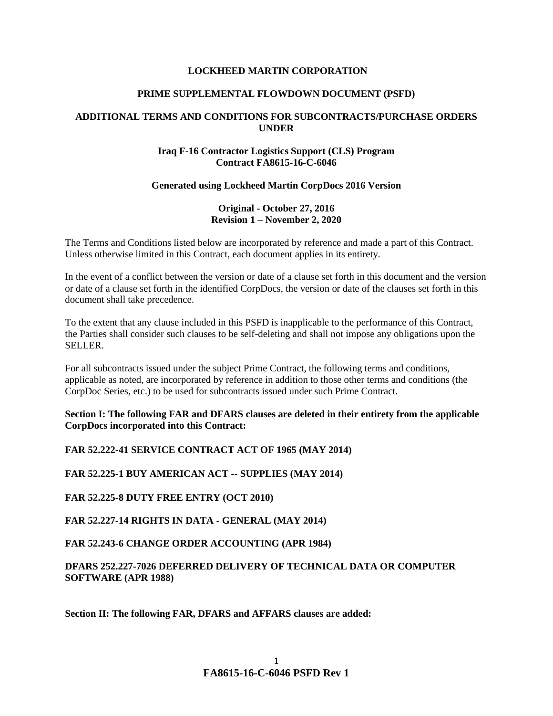#### **LOCKHEED MARTIN CORPORATION**

#### **PRIME SUPPLEMENTAL FLOWDOWN DOCUMENT (PSFD)**

# **ADDITIONAL TERMS AND CONDITIONS FOR SUBCONTRACTS/PURCHASE ORDERS UNDER**

# **Iraq F-16 Contractor Logistics Support (CLS) Program Contract FA8615-16-C-6046**

#### **Generated using Lockheed Martin CorpDocs 2016 Version**

# **Original - October 27, 2016 Revision 1 – November 2, 2020**

The Terms and Conditions listed below are incorporated by reference and made a part of this Contract. Unless otherwise limited in this Contract, each document applies in its entirety.

In the event of a conflict between the version or date of a clause set forth in this document and the version or date of a clause set forth in the identified CorpDocs, the version or date of the clauses set forth in this document shall take precedence.

To the extent that any clause included in this PSFD is inapplicable to the performance of this Contract, the Parties shall consider such clauses to be self-deleting and shall not impose any obligations upon the SELLER.

For all subcontracts issued under the subject Prime Contract, the following terms and conditions, applicable as noted, are incorporated by reference in addition to those other terms and conditions (the CorpDoc Series, etc.) to be used for subcontracts issued under such Prime Contract.

**Section I: The following FAR and DFARS clauses are deleted in their entirety from the applicable CorpDocs incorporated into this Contract:**

**FAR 52.222-41 SERVICE CONTRACT ACT OF 1965 (MAY 2014)**

**FAR 52.225-1 BUY AMERICAN ACT -- SUPPLIES (MAY 2014)** 

**FAR 52.225-8 DUTY FREE ENTRY (OCT 2010)**

**FAR 52.227-14 RIGHTS IN DATA - GENERAL (MAY 2014)**

**FAR 52.243-6 CHANGE ORDER ACCOUNTING (APR 1984)**

**DFARS 252.227-7026 DEFERRED DELIVERY OF TECHNICAL DATA OR COMPUTER SOFTWARE (APR 1988)**

**Section II: The following FAR, DFARS and AFFARS clauses are added:**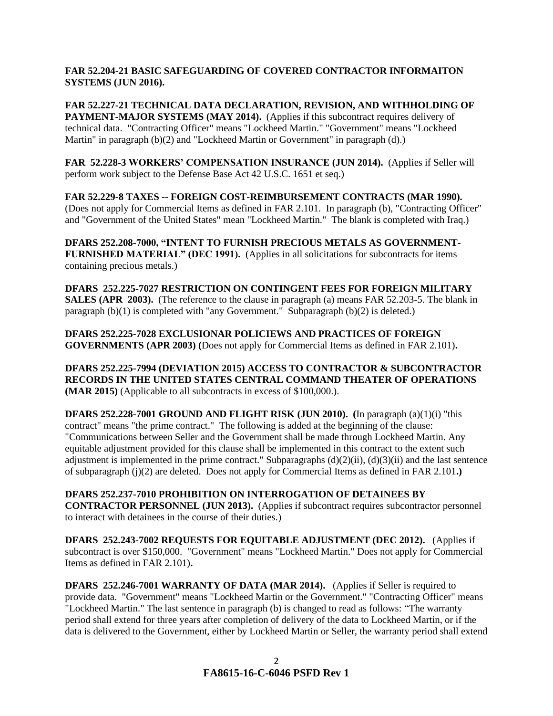# **FAR 52.204-21 BASIC SAFEGUARDING OF COVERED CONTRACTOR INFORMAITON SYSTEMS (JUN 2016).**

**FAR 52.227-21 TECHNICAL DATA DECLARATION, REVISION, AND WITHHOLDING OF PAYMENT-MAJOR SYSTEMS (MAY 2014).** (Applies if this subcontract requires delivery of technical data. "Contracting Officer" means "Lockheed Martin." "Government" means "Lockheed Martin" in paragraph (b)(2) and "Lockheed Martin or Government" in paragraph (d).)

**FAR 52.228-3 WORKERS' COMPENSATION INSURANCE (JUN 2014).** (Applies if Seller will perform work subject to the Defense Base Act 42 U.S.C. 1651 et seq.)

**FAR 52.229-8 TAXES -- FOREIGN COST-REIMBURSEMENT CONTRACTS (MAR 1990).** (Does not apply for Commercial Items as defined in FAR 2.101. In paragraph (b), "Contracting Officer" and "Government of the United States" mean "Lockheed Martin." The blank is completed with Iraq.)

**DFARS 252.208-7000, "INTENT TO FURNISH PRECIOUS METALS AS GOVERNMENT-FURNISHED MATERIAL" (DEC 1991).** (Applies in all solicitations for subcontracts for items containing precious metals.)

**DFARS 252.225-7027 RESTRICTION ON CONTINGENT FEES FOR FOREIGN MILITARY SALES (APR 2003).** (The reference to the clause in paragraph (a) means FAR 52.203-5. The blank in paragraph  $(b)(1)$  is completed with "any Government." Subparagraph  $(b)(2)$  is deleted.)

**DFARS 252.225-7028 EXCLUSIONAR POLICIEWS AND PRACTICES OF FOREIGN GOVERNMENTS (APR 2003) (**Does not apply for Commercial Items as defined in FAR 2.101)**.**

**DFARS 252.225-7994 (DEVIATION 2015) ACCESS TO CONTRACTOR & SUBCONTRACTOR RECORDS IN THE UNITED STATES CENTRAL COMMAND THEATER OF OPERATIONS (MAR 2015)** (Applicable to all subcontracts in excess of \$100,000.).

**DFARS 252.228-7001 GROUND AND FLIGHT RISK (JUN 2010). (**In paragraph (a)(1)(i) "this contract" means "the prime contract." The following is added at the beginning of the clause: "Communications between Seller and the Government shall be made through Lockheed Martin. Any equitable adjustment provided for this clause shall be implemented in this contract to the extent such adjustment is implemented in the prime contract." Subparagraphs  $(d)(2)(ii)$ ,  $(d)(3)(ii)$  and the last sentence of subparagraph (j)(2) are deleted. Does not apply for Commercial Items as defined in FAR 2.101**.)**

**DFARS 252.237-7010 PROHIBITION ON INTERROGATION OF DETAINEES BY CONTRACTOR PERSONNEL (JUN 2013).** (Applies if subcontract requires subcontractor personnel to interact with detainees in the course of their duties.)

**DFARS 252.243-7002 REQUESTS FOR EQUITABLE ADJUSTMENT (DEC 2012).** (Applies if subcontract is over \$150,000. "Government" means "Lockheed Martin." Does not apply for Commercial Items as defined in FAR 2.101)**.**

**DFARS 252.246-7001 WARRANTY OF DATA (MAR 2014).** (Applies if Seller is required to provide data. "Government" means "Lockheed Martin or the Government." "Contracting Officer" means "Lockheed Martin." The last sentence in paragraph (b) is changed to read as follows: "The warranty period shall extend for three years after completion of delivery of the data to Lockheed Martin, or if the data is delivered to the Government, either by Lockheed Martin or Seller, the warranty period shall extend